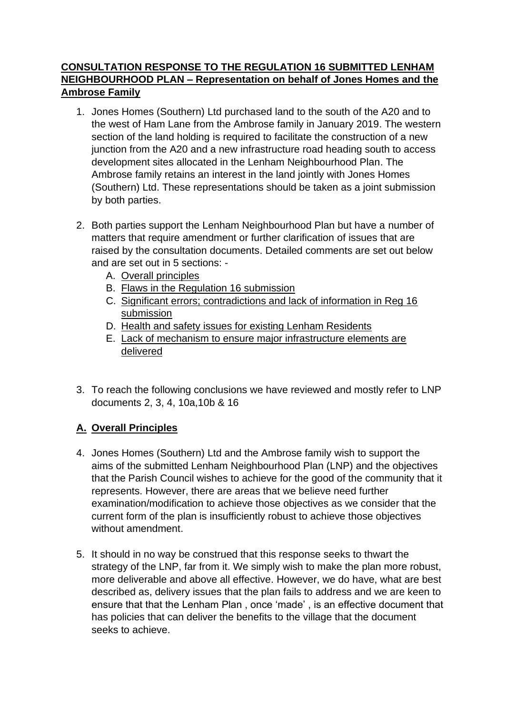# **CONSULTATION RESPONSE TO THE REGULATION 16 SUBMITTED LENHAM NEIGHBOURHOOD PLAN – Representation on behalf of Jones Homes and the Ambrose Family**

- 1. Jones Homes (Southern) Ltd purchased land to the south of the A20 and to the west of Ham Lane from the Ambrose family in January 2019. The western section of the land holding is required to facilitate the construction of a new junction from the A20 and a new infrastructure road heading south to access development sites allocated in the Lenham Neighbourhood Plan. The Ambrose family retains an interest in the land jointly with Jones Homes (Southern) Ltd. These representations should be taken as a joint submission by both parties.
- 2. Both parties support the Lenham Neighbourhood Plan but have a number of matters that require amendment or further clarification of issues that are raised by the consultation documents. Detailed comments are set out below and are set out in 5 sections: -
	- A. Overall principles
	- B. Flaws in the Regulation 16 submission
	- C. Significant errors; contradictions and lack of information in Reg 16 submission
	- D. Health and safety issues for existing Lenham Residents
	- E. Lack of mechanism to ensure major infrastructure elements are delivered
- 3. To reach the following conclusions we have reviewed and mostly refer to LNP documents 2, 3, 4, 10a,10b & 16

# **A. Overall Principles**

- 4. Jones Homes (Southern) Ltd and the Ambrose family wish to support the aims of the submitted Lenham Neighbourhood Plan (LNP) and the objectives that the Parish Council wishes to achieve for the good of the community that it represents. However, there are areas that we believe need further examination/modification to achieve those objectives as we consider that the current form of the plan is insufficiently robust to achieve those objectives without amendment.
- 5. It should in no way be construed that this response seeks to thwart the strategy of the LNP, far from it. We simply wish to make the plan more robust, more deliverable and above all effective. However, we do have, what are best described as, delivery issues that the plan fails to address and we are keen to ensure that that the Lenham Plan , once 'made' , is an effective document that has policies that can deliver the benefits to the village that the document seeks to achieve.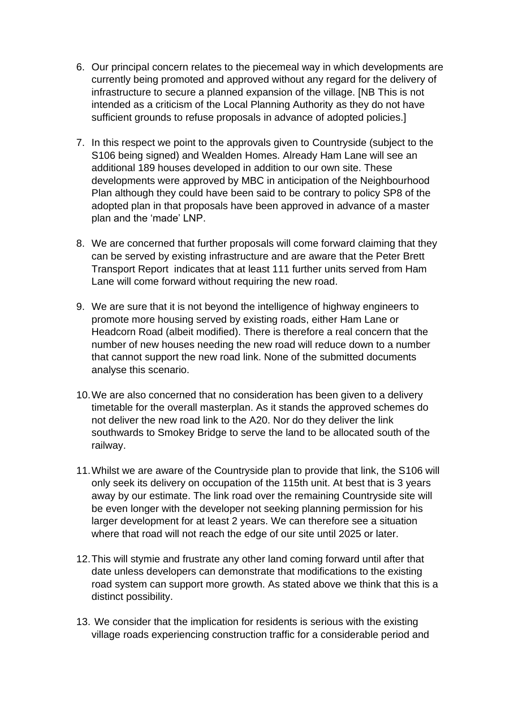- 6. Our principal concern relates to the piecemeal way in which developments are currently being promoted and approved without any regard for the delivery of infrastructure to secure a planned expansion of the village. [NB This is not intended as a criticism of the Local Planning Authority as they do not have sufficient grounds to refuse proposals in advance of adopted policies.]
- 7. In this respect we point to the approvals given to Countryside (subject to the S106 being signed) and Wealden Homes. Already Ham Lane will see an additional 189 houses developed in addition to our own site. These developments were approved by MBC in anticipation of the Neighbourhood Plan although they could have been said to be contrary to policy SP8 of the adopted plan in that proposals have been approved in advance of a master plan and the 'made' LNP.
- 8. We are concerned that further proposals will come forward claiming that they can be served by existing infrastructure and are aware that the Peter Brett Transport Report indicates that at least 111 further units served from Ham Lane will come forward without requiring the new road.
- 9. We are sure that it is not beyond the intelligence of highway engineers to promote more housing served by existing roads, either Ham Lane or Headcorn Road (albeit modified). There is therefore a real concern that the number of new houses needing the new road will reduce down to a number that cannot support the new road link. None of the submitted documents analyse this scenario.
- 10.We are also concerned that no consideration has been given to a delivery timetable for the overall masterplan. As it stands the approved schemes do not deliver the new road link to the A20. Nor do they deliver the link southwards to Smokey Bridge to serve the land to be allocated south of the railway.
- 11.Whilst we are aware of the Countryside plan to provide that link, the S106 will only seek its delivery on occupation of the 115th unit. At best that is 3 years away by our estimate. The link road over the remaining Countryside site will be even longer with the developer not seeking planning permission for his larger development for at least 2 years. We can therefore see a situation where that road will not reach the edge of our site until 2025 or later.
- 12.This will stymie and frustrate any other land coming forward until after that date unless developers can demonstrate that modifications to the existing road system can support more growth. As stated above we think that this is a distinct possibility.
- 13. We consider that the implication for residents is serious with the existing village roads experiencing construction traffic for a considerable period and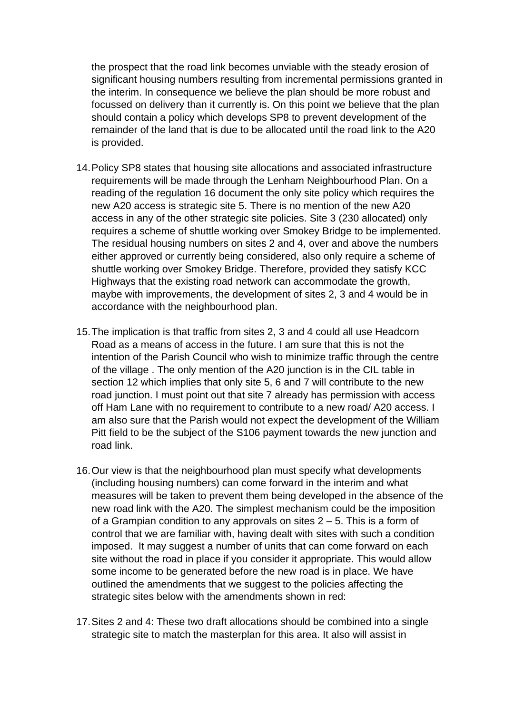the prospect that the road link becomes unviable with the steady erosion of significant housing numbers resulting from incremental permissions granted in the interim. In consequence we believe the plan should be more robust and focussed on delivery than it currently is. On this point we believe that the plan should contain a policy which develops SP8 to prevent development of the remainder of the land that is due to be allocated until the road link to the A20 is provided.

- 14.Policy SP8 states that housing site allocations and associated infrastructure requirements will be made through the Lenham Neighbourhood Plan. On a reading of the regulation 16 document the only site policy which requires the new A20 access is strategic site 5. There is no mention of the new A20 access in any of the other strategic site policies. Site 3 (230 allocated) only requires a scheme of shuttle working over Smokey Bridge to be implemented. The residual housing numbers on sites 2 and 4, over and above the numbers either approved or currently being considered, also only require a scheme of shuttle working over Smokey Bridge. Therefore, provided they satisfy KCC Highways that the existing road network can accommodate the growth, maybe with improvements, the development of sites 2, 3 and 4 would be in accordance with the neighbourhood plan.
- 15.The implication is that traffic from sites 2, 3 and 4 could all use Headcorn Road as a means of access in the future. I am sure that this is not the intention of the Parish Council who wish to minimize traffic through the centre of the village . The only mention of the A20 junction is in the CIL table in section 12 which implies that only site 5, 6 and 7 will contribute to the new road junction. I must point out that site 7 already has permission with access off Ham Lane with no requirement to contribute to a new road/ A20 access. I am also sure that the Parish would not expect the development of the William Pitt field to be the subject of the S106 payment towards the new junction and road link.
- 16.Our view is that the neighbourhood plan must specify what developments (including housing numbers) can come forward in the interim and what measures will be taken to prevent them being developed in the absence of the new road link with the A20. The simplest mechanism could be the imposition of a Grampian condition to any approvals on sites  $2 - 5$ . This is a form of control that we are familiar with, having dealt with sites with such a condition imposed. It may suggest a number of units that can come forward on each site without the road in place if you consider it appropriate. This would allow some income to be generated before the new road is in place. We have outlined the amendments that we suggest to the policies affecting the strategic sites below with the amendments shown in red:
- 17.Sites 2 and 4: These two draft allocations should be combined into a single strategic site to match the masterplan for this area. It also will assist in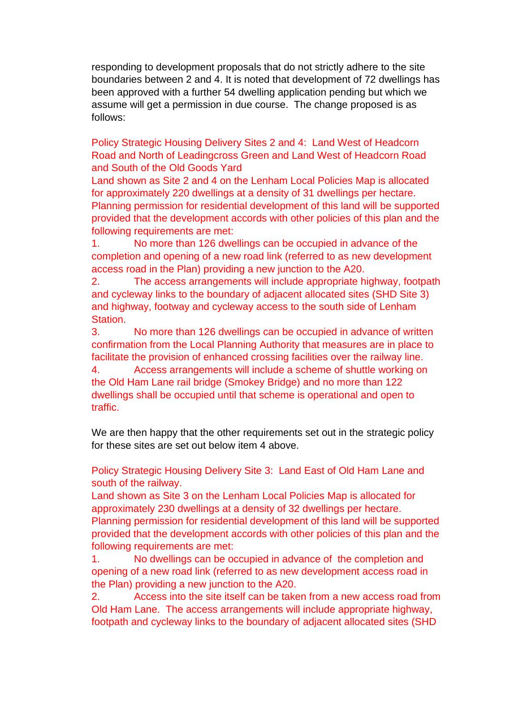responding to development proposals that do not strictly adhere to the site boundaries between 2 and 4. It is noted that development of 72 dwellings has been approved with a further 54 dwelling application pending but which we assume will get a permission in due course. The change proposed is as follows:

Policy Strategic Housing Delivery Sites 2 and 4: Land West of Headcorn Road and North of Leadingcross Green and Land West of Headcorn Road and South of the Old Goods Yard

Land shown as Site 2 and 4 on the Lenham Local Policies Map is allocated for approximately 220 dwellings at a density of 31 dwellings per hectare. Planning permission for residential development of this land will be supported provided that the development accords with other policies of this plan and the following requirements are met:

1. No more than 126 dwellings can be occupied in advance of the completion and opening of a new road link (referred to as new development access road in the Plan) providing a new junction to the A20.

2. The access arrangements will include appropriate highway, footpath and cycleway links to the boundary of adjacent allocated sites (SHD Site 3) and highway, footway and cycleway access to the south side of Lenham Station.

3. No more than 126 dwellings can be occupied in advance of written confirmation from the Local Planning Authority that measures are in place to facilitate the provision of enhanced crossing facilities over the railway line. 4. Access arrangements will include a scheme of shuttle working on the Old Ham Lane rail bridge (Smokey Bridge) and no more than 122 dwellings shall be occupied until that scheme is operational and open to traffic.

We are then happy that the other requirements set out in the strategic policy for these sites are set out below item 4 above.

Policy Strategic Housing Delivery Site 3: Land East of Old Ham Lane and south of the railway.

Land shown as Site 3 on the Lenham Local Policies Map is allocated for approximately 230 dwellings at a density of 32 dwellings per hectare. Planning permission for residential development of this land will be supported provided that the development accords with other policies of this plan and the following requirements are met:

1. No dwellings can be occupied in advance of the completion and opening of a new road link (referred to as new development access road in the Plan) providing a new junction to the A20.

2. Access into the site itself can be taken from a new access road from Old Ham Lane. The access arrangements will include appropriate highway, footpath and cycleway links to the boundary of adjacent allocated sites (SHD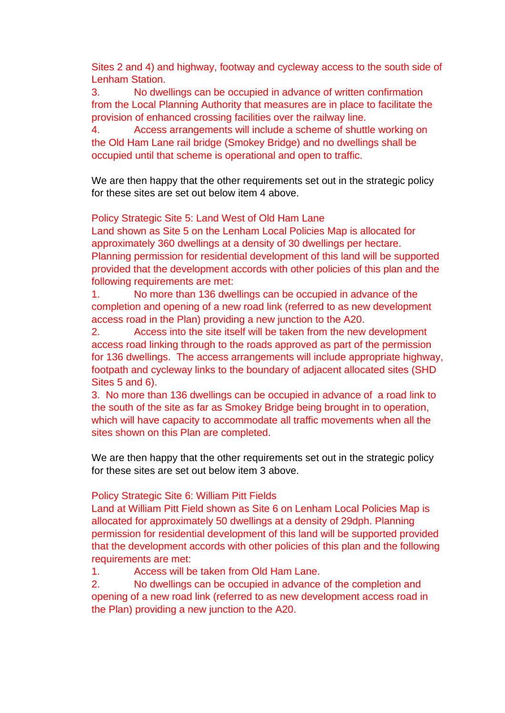Sites 2 and 4) and highway, footway and cycleway access to the south side of Lenham Station.

3. No dwellings can be occupied in advance of written confirmation from the Local Planning Authority that measures are in place to facilitate the provision of enhanced crossing facilities over the railway line.

4. Access arrangements will include a scheme of shuttle working on the Old Ham Lane rail bridge (Smokey Bridge) and no dwellings shall be occupied until that scheme is operational and open to traffic.

We are then happy that the other requirements set out in the strategic policy for these sites are set out below item 4 above.

Policy Strategic Site 5: Land West of Old Ham Lane

Land shown as Site 5 on the Lenham Local Policies Map is allocated for approximately 360 dwellings at a density of 30 dwellings per hectare. Planning permission for residential development of this land will be supported provided that the development accords with other policies of this plan and the following requirements are met:

1. No more than 136 dwellings can be occupied in advance of the completion and opening of a new road link (referred to as new development access road in the Plan) providing a new junction to the A20.

2. Access into the site itself will be taken from the new development access road linking through to the roads approved as part of the permission for 136 dwellings. The access arrangements will include appropriate highway, footpath and cycleway links to the boundary of adjacent allocated sites (SHD Sites 5 and 6).

3. No more than 136 dwellings can be occupied in advance of a road link to the south of the site as far as Smokey Bridge being brought in to operation, which will have capacity to accommodate all traffic movements when all the sites shown on this Plan are completed.

We are then happy that the other requirements set out in the strategic policy for these sites are set out below item 3 above.

### Policy Strategic Site 6: William Pitt Fields

Land at William Pitt Field shown as Site 6 on Lenham Local Policies Map is allocated for approximately 50 dwellings at a density of 29dph. Planning permission for residential development of this land will be supported provided that the development accords with other policies of this plan and the following requirements are met:

1. Access will be taken from Old Ham Lane.

2. No dwellings can be occupied in advance of the completion and opening of a new road link (referred to as new development access road in the Plan) providing a new junction to the A20.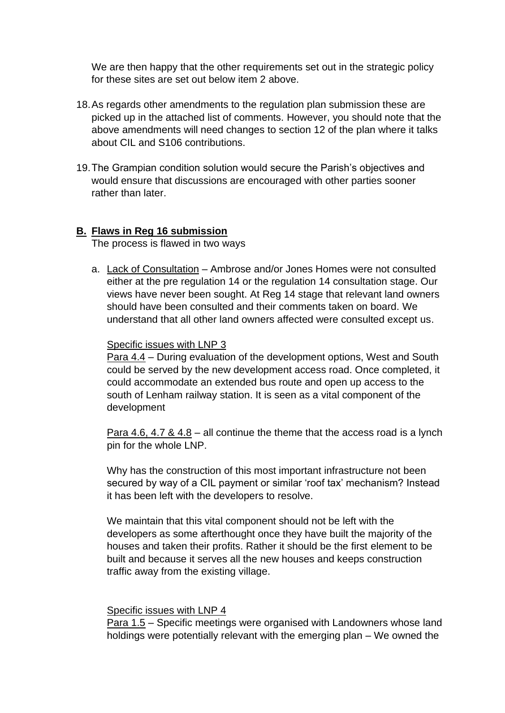We are then happy that the other requirements set out in the strategic policy for these sites are set out below item 2 above.

- 18.As regards other amendments to the regulation plan submission these are picked up in the attached list of comments. However, you should note that the above amendments will need changes to section 12 of the plan where it talks about CIL and S106 contributions.
- 19.The Grampian condition solution would secure the Parish's objectives and would ensure that discussions are encouraged with other parties sooner rather than later.

## **B. Flaws in Reg 16 submission**

The process is flawed in two ways

a. Lack of Consultation – Ambrose and/or Jones Homes were not consulted either at the pre regulation 14 or the regulation 14 consultation stage. Our views have never been sought. At Reg 14 stage that relevant land owners should have been consulted and their comments taken on board. We understand that all other land owners affected were consulted except us.

### Specific issues with LNP 3

Para 4.4 – During evaluation of the development options, West and South could be served by the new development access road. Once completed, it could accommodate an extended bus route and open up access to the south of Lenham railway station. It is seen as a vital component of the development

Para 4.6, 4.7 & 4.8 – all continue the theme that the access road is a lynch pin for the whole LNP.

Why has the construction of this most important infrastructure not been secured by way of a CIL payment or similar 'roof tax' mechanism? Instead it has been left with the developers to resolve.

We maintain that this vital component should not be left with the developers as some afterthought once they have built the majority of the houses and taken their profits. Rather it should be the first element to be built and because it serves all the new houses and keeps construction traffic away from the existing village.

#### Specific issues with LNP 4

Para 1.5 – Specific meetings were organised with Landowners whose land holdings were potentially relevant with the emerging plan – We owned the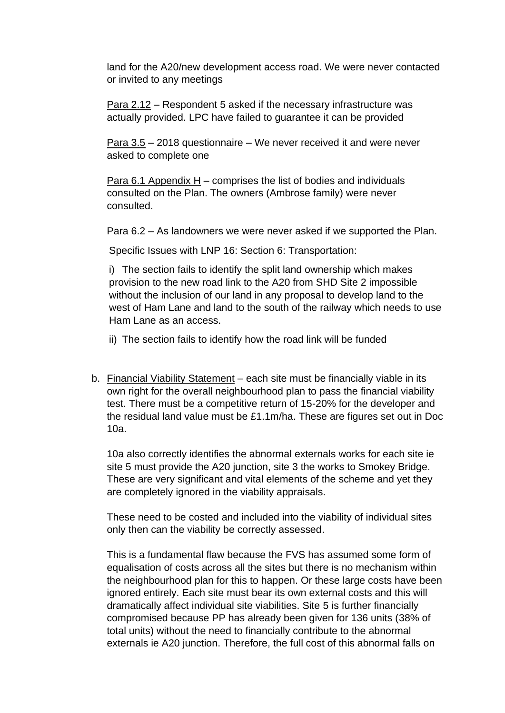land for the A20/new development access road. We were never contacted or invited to any meetings

Para 2.12 – Respondent 5 asked if the necessary infrastructure was actually provided. LPC have failed to guarantee it can be provided

Para 3.5 – 2018 questionnaire – We never received it and were never asked to complete one

Para 6.1 Appendix H – comprises the list of bodies and individuals consulted on the Plan. The owners (Ambrose family) were never consulted.

Para 6.2 – As landowners we were never asked if we supported the Plan.

Specific Issues with LNP 16: Section 6: Transportation:

i) The section fails to identify the split land ownership which makes provision to the new road link to the A20 from SHD Site 2 impossible without the inclusion of our land in any proposal to develop land to the west of Ham Lane and land to the south of the railway which needs to use Ham Lane as an access.

ii) The section fails to identify how the road link will be funded

b. Financial Viability Statement – each site must be financially viable in its own right for the overall neighbourhood plan to pass the financial viability test. There must be a competitive return of 15-20% for the developer and the residual land value must be £1.1m/ha. These are figures set out in Doc 10a.

10a also correctly identifies the abnormal externals works for each site ie site 5 must provide the A20 junction, site 3 the works to Smokey Bridge. These are very significant and vital elements of the scheme and yet they are completely ignored in the viability appraisals.

These need to be costed and included into the viability of individual sites only then can the viability be correctly assessed.

This is a fundamental flaw because the FVS has assumed some form of equalisation of costs across all the sites but there is no mechanism within the neighbourhood plan for this to happen. Or these large costs have been ignored entirely. Each site must bear its own external costs and this will dramatically affect individual site viabilities. Site 5 is further financially compromised because PP has already been given for 136 units (38% of total units) without the need to financially contribute to the abnormal externals ie A20 junction. Therefore, the full cost of this abnormal falls on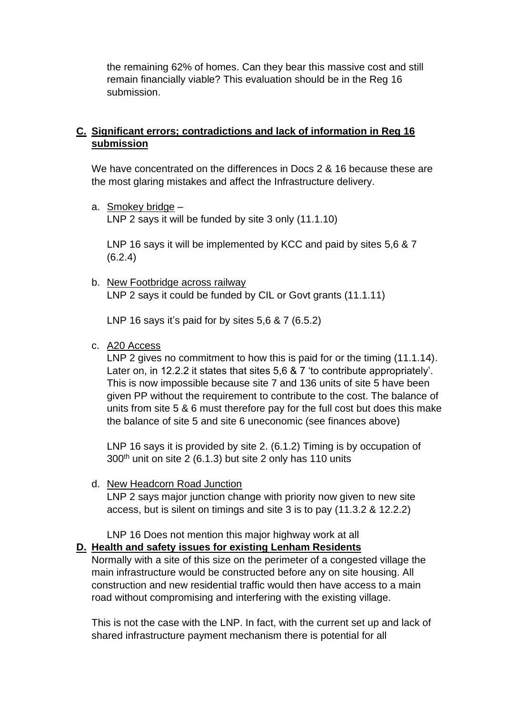the remaining 62% of homes. Can they bear this massive cost and still remain financially viable? This evaluation should be in the Reg 16 submission.

## **C. Significant errors; contradictions and lack of information in Reg 16 submission**

We have concentrated on the differences in Docs 2 & 16 because these are the most glaring mistakes and affect the Infrastructure delivery.

a. Smokey bridge – LNP 2 says it will be funded by site 3 only (11.1.10)

LNP 16 says it will be implemented by KCC and paid by sites 5,6 & 7 (6.2.4)

b. New Footbridge across railway LNP 2 says it could be funded by CIL or Govt grants (11.1.11)

LNP 16 says it's paid for by sites 5,6 & 7 (6.5.2)

c. A20 Access

LNP 2 gives no commitment to how this is paid for or the timing (11.1.14). Later on, in 12.2.2 it states that sites 5,6 & 7 'to contribute appropriately'. This is now impossible because site 7 and 136 units of site 5 have been given PP without the requirement to contribute to the cost. The balance of units from site 5 & 6 must therefore pay for the full cost but does this make the balance of site 5 and site 6 uneconomic (see finances above)

LNP 16 says it is provided by site 2. (6.1.2) Timing is by occupation of  $300<sup>th</sup>$  unit on site 2 (6.1.3) but site 2 only has 110 units

d. New Headcorn Road Junction

LNP 2 says major junction change with priority now given to new site access, but is silent on timings and site 3 is to pay (11.3.2 & 12.2.2)

LNP 16 Does not mention this major highway work at all

## **D. Health and safety issues for existing Lenham Residents**

Normally with a site of this size on the perimeter of a congested village the main infrastructure would be constructed before any on site housing. All construction and new residential traffic would then have access to a main road without compromising and interfering with the existing village.

This is not the case with the LNP. In fact, with the current set up and lack of shared infrastructure payment mechanism there is potential for all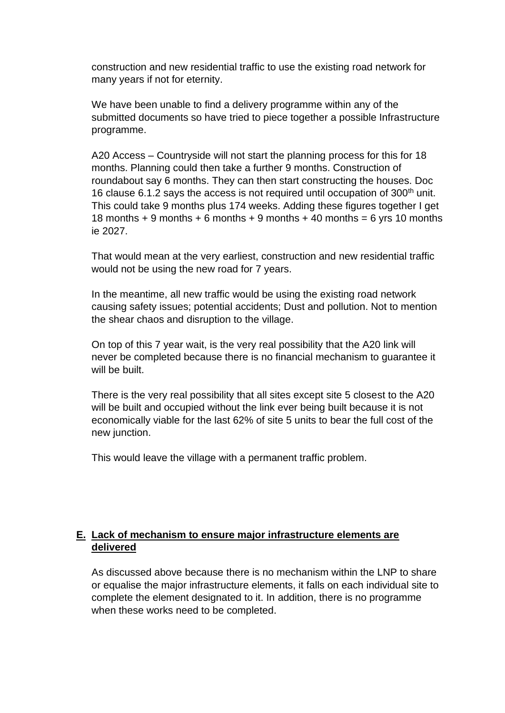construction and new residential traffic to use the existing road network for many years if not for eternity.

We have been unable to find a delivery programme within any of the submitted documents so have tried to piece together a possible Infrastructure programme.

A20 Access – Countryside will not start the planning process for this for 18 months. Planning could then take a further 9 months. Construction of roundabout say 6 months. They can then start constructing the houses. Doc 16 clause 6.1.2 says the access is not required until occupation of 300<sup>th</sup> unit. This could take 9 months plus 174 weeks. Adding these figures together I get 18 months  $+9$  months  $+6$  months  $+9$  months  $+40$  months  $=6$  vrs 10 months ie 2027.

That would mean at the very earliest, construction and new residential traffic would not be using the new road for 7 years.

In the meantime, all new traffic would be using the existing road network causing safety issues; potential accidents; Dust and pollution. Not to mention the shear chaos and disruption to the village.

On top of this 7 year wait, is the very real possibility that the A20 link will never be completed because there is no financial mechanism to guarantee it will be built.

There is the very real possibility that all sites except site 5 closest to the A20 will be built and occupied without the link ever being built because it is not economically viable for the last 62% of site 5 units to bear the full cost of the new junction.

This would leave the village with a permanent traffic problem.

## **E. Lack of mechanism to ensure major infrastructure elements are delivered**

As discussed above because there is no mechanism within the LNP to share or equalise the major infrastructure elements, it falls on each individual site to complete the element designated to it. In addition, there is no programme when these works need to be completed.